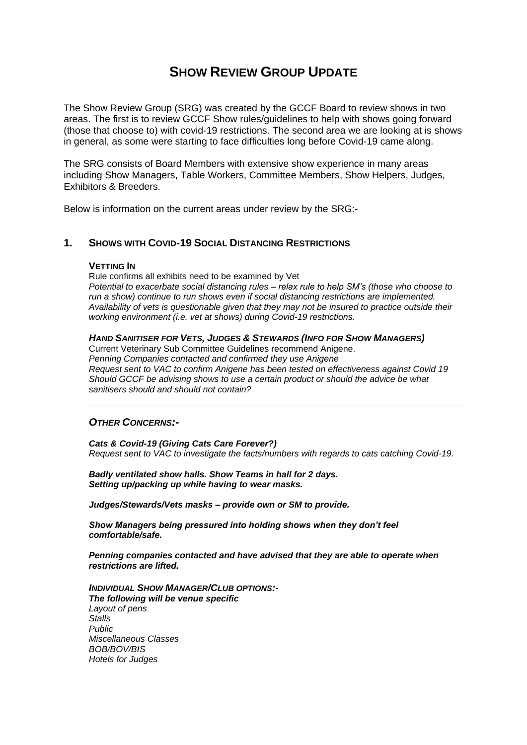# **SHOW REVIEW GROUP UPDATE**

The Show Review Group (SRG) was created by the GCCF Board to review shows in two areas. The first is to review GCCF Show rules/guidelines to help with shows going forward (those that choose to) with covid-19 restrictions. The second area we are looking at is shows in general, as some were starting to face difficulties long before Covid-19 came along.

The SRG consists of Board Members with extensive show experience in many areas including Show Managers, Table Workers, Committee Members, Show Helpers, Judges, Exhibitors & Breeders.

Below is information on the current areas under review by the SRG:-

### **1. SHOWS WITH COVID-19 SOCIAL DISTANCING RESTRICTIONS**

#### **VETTING IN**

Rule confirms all exhibits need to be examined by Vet *Potential to exacerbate social distancing rules – relax rule to help SM's (those who choose to run a show) continue to run shows even if social distancing restrictions are implemented. Availability of vets is questionable given that they may not be insured to practice outside their working environment (i.e. vet at shows) during Covid-19 restrictions.*

#### *HAND SANITISER FOR VETS, JUDGES & STEWARDS (INFO FOR SHOW MANAGERS)*

Current Veterinary Sub Committee Guidelines recommend Anigene. *Penning Companies contacted and confirmed they use Anigene Request sent to VAC to confirm Anigene has been tested on effectiveness against Covid 19 Should GCCF be advising shows to use a certain product or should the advice be what sanitisers should and should not contain?*

#### *OTHER CONCERNS:-*

*Cats & Covid-19 (Giving Cats Care Forever?) Request sent to VAC to investigate the facts/numbers with regards to cats catching Covid-19.*

*Badly ventilated show halls. Show Teams in hall for 2 days. Setting up/packing up while having to wear masks.* 

*Judges/Stewards/Vets masks – provide own or SM to provide.* 

*Show Managers being pressured into holding shows when they don't feel comfortable/safe.*

*Penning companies contacted and have advised that they are able to operate when restrictions are lifted.*

*INDIVIDUAL SHOW MANAGER/CLUB OPTIONS:- The following will be venue specific Layout of pens Stalls Public Miscellaneous Classes BOB/BOV/BIS Hotels for Judges*